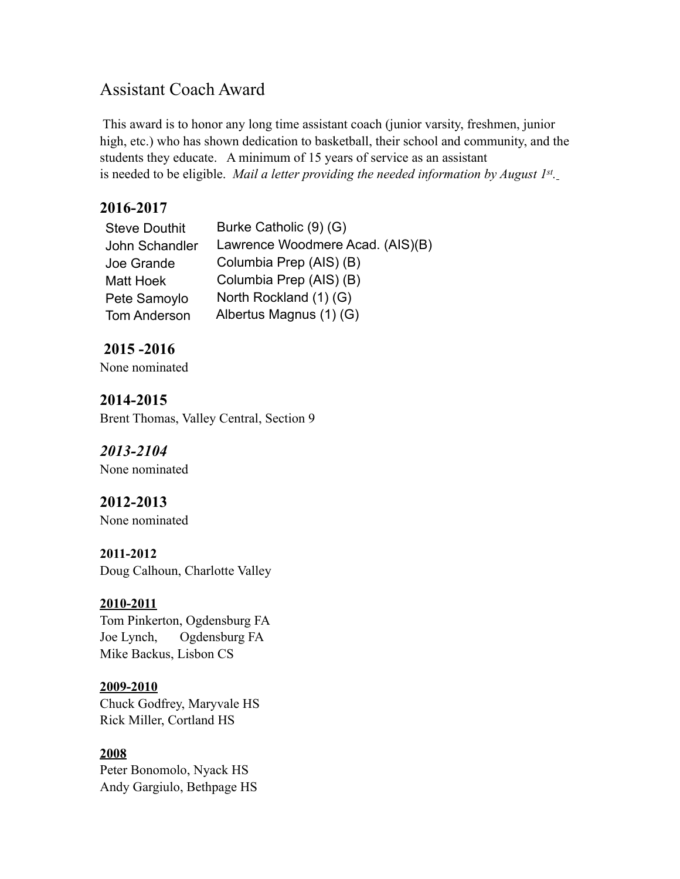# Assistant Coach Award

This award is to honor any long time assistant coach (junior varsity, freshmen, junior high, etc.) who has shown dedication to basketball, their school and community, and the students they educate. A minimum of 15 years of service as an assistant is needed to be eligible. *Mail a letter providing the needed information by August 1st.*

## **2016-2017**

| <b>Steve Douthit</b> | Burke Catholic (9) (G)           |
|----------------------|----------------------------------|
| John Schandler       | Lawrence Woodmere Acad. (AIS)(B) |
| Joe Grande           | Columbia Prep (AIS) (B)          |
| Matt Hoek            | Columbia Prep (AIS) (B)          |
| Pete Samoylo         | North Rockland (1) (G)           |
| <b>Tom Anderson</b>  | Albertus Magnus (1) (G)          |

## **2015 -2016**

None nominated

### **2014-2015** Brent Thomas, Valley Central, Section 9

## *2013-2104*

None nominated

## **2012-2013**

None nominated

### **2011-2012**

Doug Calhoun, Charlotte Valley

## **2010-2011**

Tom Pinkerton, Ogdensburg FA Joe Lynch, Ogdensburg FA Mike Backus, Lisbon CS

### **2009-2010**

Chuck Godfrey, Maryvale HS Rick Miller, Cortland HS

## **2008**

Peter Bonomolo, Nyack HS Andy Gargiulo, Bethpage HS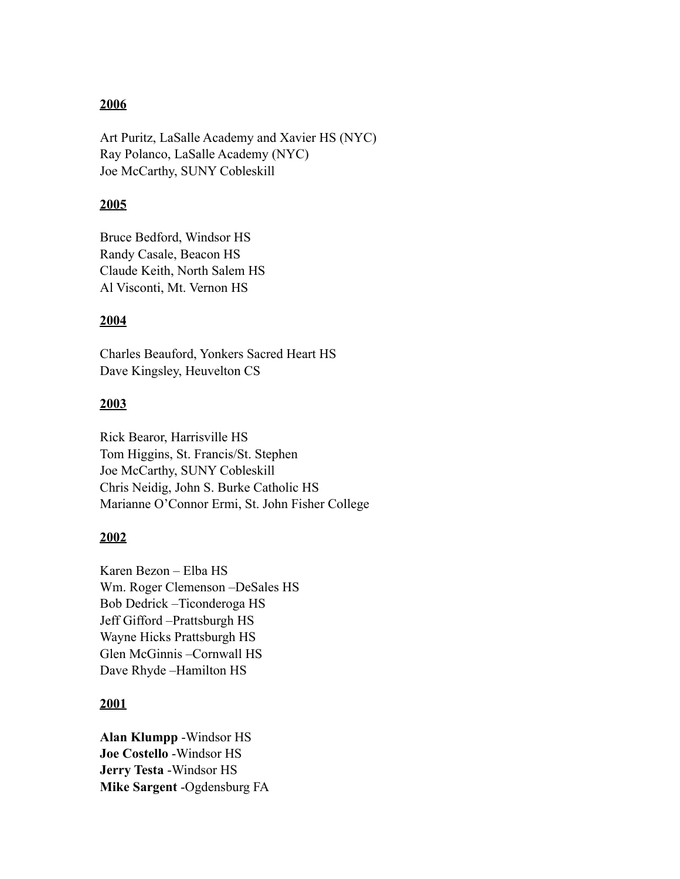### **2006**

Art Puritz, LaSalle Academy and Xavier HS (NYC) Ray Polanco, LaSalle Academy (NYC) Joe McCarthy, SUNY Cobleskill

#### **2005**

Bruce Bedford, Windsor HS Randy Casale, Beacon HS Claude Keith, North Salem HS Al Visconti, Mt. Vernon HS

#### **2004**

Charles Beauford, Yonkers Sacred Heart HS Dave Kingsley, Heuvelton CS

#### **2003**

Rick Bearor, Harrisville HS Tom Higgins, St. Francis/St. Stephen Joe McCarthy, SUNY Cobleskill Chris Neidig, John S. Burke Catholic HS Marianne O'Connor Ermi, St. John Fisher College

### **2002**

Karen Bezon – Elba HS Wm. Roger Clemenson –DeSales HS Bob Dedrick –Ticonderoga HS Jeff Gifford –Prattsburgh HS Wayne Hicks Prattsburgh HS Glen McGinnis –Cornwall HS Dave Rhyde –Hamilton HS

### **2001**

**Alan Klumpp** -Windsor HS **Joe Costello** -Windsor HS **Jerry Testa** -Windsor HS **Mike Sargent** -Ogdensburg FA